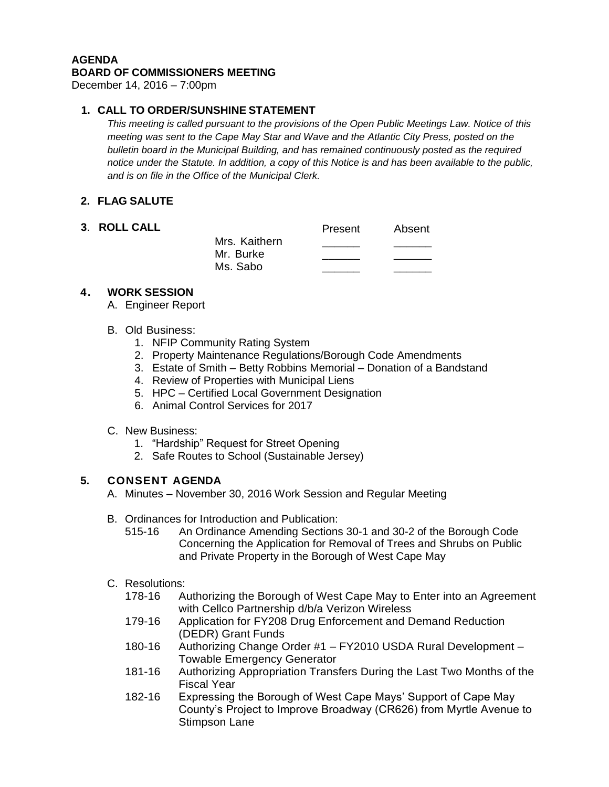#### **AGENDA BOARD OF COMMISSIONERS MEETING**

December 14, 2016 – 7:00pm

# **1. CALL TO ORDER/SUNSHINE STATEMENT**

*This meeting is called pursuant to the provisions of the Open Public Meetings Law. Notice of this meeting was sent to the Cape May Star and Wave and the Atlantic City Press, posted on the bulletin board in the Municipal Building, and has remained continuously posted as the required notice under the Statute. In addition, a copy of this Notice is and has been available to the public, and is on file in the Office of the Municipal Clerk.*

# **2. FLAG SALUTE**

| 3. ROLL CALL |                                        | Present | Absent |
|--------------|----------------------------------------|---------|--------|
|              | Mrs. Kaithern<br>Mr. Burke<br>Ms. Sabo |         |        |

# **4. WORK SESSION**

A. Engineer Report

#### B. Old Business:

- 1. NFIP Community Rating System
- 2. Property Maintenance Regulations/Borough Code Amendments
- 3. Estate of Smith Betty Robbins Memorial Donation of a Bandstand
- 4. Review of Properties with Municipal Liens
- 5. HPC Certified Local Government Designation
- 6. Animal Control Services for 2017
- C. New Business:
	- 1. "Hardship" Request for Street Opening
	- 2. Safe Routes to School (Sustainable Jersey)

### **5. CONSENT AGENDA**

- A. Minutes November 30, 2016 Work Session and Regular Meeting
- B. Ordinances for Introduction and Publication:
	- 515-16 An Ordinance Amending Sections 30-1 and 30-2 of the Borough Code Concerning the Application for Removal of Trees and Shrubs on Public and Private Property in the Borough of West Cape May

### C. Resolutions:

- 178-16 Authorizing the Borough of West Cape May to Enter into an Agreement with Cellco Partnership d/b/a Verizon Wireless
- 179-16 Application for FY208 Drug Enforcement and Demand Reduction (DEDR) Grant Funds
- 180-16 Authorizing Change Order #1 FY2010 USDA Rural Development Towable Emergency Generator
- 181-16 Authorizing Appropriation Transfers During the Last Two Months of the Fiscal Year
- 182-16 Expressing the Borough of West Cape Mays' Support of Cape May County's Project to Improve Broadway (CR626) from Myrtle Avenue to Stimpson Lane